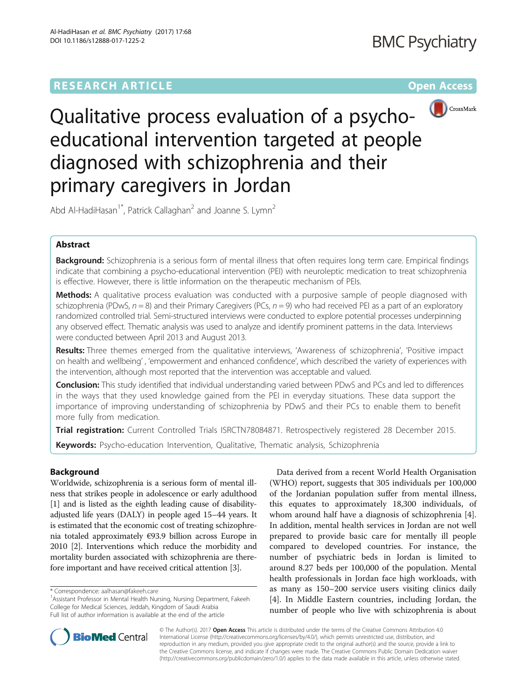# **RESEARCH ARTICLE Example 2018 12:00 Department of the Contract Open Access**



Qualitative process evaluation of a psychoeducational intervention targeted at people diagnosed with schizophrenia and their primary caregivers in Jordan

Abd Al-HadiHasan<sup>1\*</sup>, Patrick Callaghan<sup>2</sup> and Joanne S. Lymn<sup>2</sup>

# Abstract

Background: Schizophrenia is a serious form of mental illness that often requires long term care. Empirical findings indicate that combining a psycho-educational intervention (PEI) with neuroleptic medication to treat schizophrenia is effective. However, there is little information on the therapeutic mechanism of PEIs.

**Methods:** A qualitative process evaluation was conducted with a purposive sample of people diagnosed with schizophrenia (PDwS,  $n = 8$ ) and their Primary Caregivers (PCs,  $n = 9$ ) who had received PEI as a part of an exploratory randomized controlled trial. Semi-structured interviews were conducted to explore potential processes underpinning any observed effect. Thematic analysis was used to analyze and identify prominent patterns in the data. Interviews were conducted between April 2013 and August 2013.

Results: Three themes emerged from the qualitative interviews, 'Awareness of schizophrenia', 'Positive impact on health and wellbeing' , 'empowerment and enhanced confidence', which described the variety of experiences with the intervention, although most reported that the intervention was acceptable and valued.

**Conclusion:** This study identified that individual understanding varied between PDwS and PCs and led to differences in the ways that they used knowledge gained from the PEI in everyday situations. These data support the importance of improving understanding of schizophrenia by PDwS and their PCs to enable them to benefit more fully from medication.

Trial registration: Current Controlled Trials ISRCTN78084871. Retrospectively registered 28 December 2015.

Keywords: Psycho-education Intervention, Qualitative, Thematic analysis, Schizophrenia

# Background

Worldwide, schizophrenia is a serious form of mental illness that strikes people in adolescence or early adulthood [1] and is listed as the eighth leading cause of disabilityadjusted life years (DALY) in people aged 15–44 years. It is estimated that the economic cost of treating schizophrenia totaled approximately €93.9 billion across Europe in 2010 [2]. Interventions which reduce the morbidity and mortality burden associated with schizophrenia are therefore important and have received critical attention [3].

Data derived from a recent World Health Organisation (WHO) report, suggests that 305 individuals per 100,000 of the Jordanian population suffer from mental illness, this equates to approximately 18,300 individuals, of whom around half have a diagnosis of schizophrenia [4]. In addition, mental health services in Jordan are not well prepared to provide basic care for mentally ill people compared to developed countries. For instance, the number of psychiatric beds in Jordan is limited to around 8.27 beds per 100,000 of the population. Mental health professionals in Jordan face high workloads, with as many as 150–200 service users visiting clinics daily [4]. In Middle Eastern countries, including Jordan, the number of people who live with schizophrenia is about



© The Author(s). 2017 **Open Access** This article is distributed under the terms of the Creative Commons Attribution 4.0 International License (http://creativecommons.org/licenses/by/4.0/), which permits unrestricted use, distribution, and reproduction in any medium, provided you give appropriate credit to the original author(s) and the source, provide a link to the Creative Commons license, and indicate if changes were made. The Creative Commons Public Domain Dedication waiver (http://creativecommons.org/publicdomain/zero/1.0/) applies to the data made available in this article, unless otherwise stated.

<sup>\*</sup> Correspondence: aalhasan@fakeeh.care <sup>1</sup>

<sup>&</sup>lt;sup>1</sup> Assistant Professor in Mental Health Nursing, Nursing Department, Fakeeh College for Medical Sciences, Jeddah, Kingdom of Saudi Arabia Full list of author information is available at the end of the article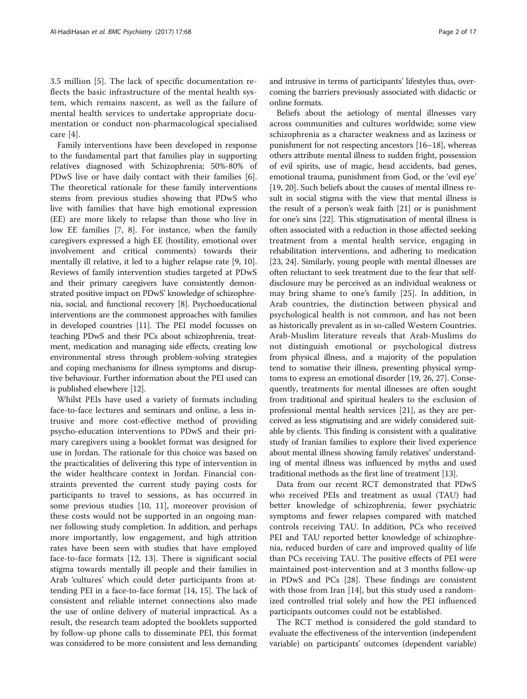3.5 million [5]. The lack of specific documentation reflects the basic infrastructure of the mental health system, which remains nascent, as well as the failure of mental health services to undertake appropriate documentation or conduct non-pharmacological specialised care [4].

Family interventions have been developed in response to the fundamental part that families play in supporting relatives diagnosed with Schizophrenia; 50%-80% of PDwS live or have daily contact with their families [6]. The theoretical rationale for these family interventions stems from previous studies showing that PDwS who live with families that have high emotional expression (EE) are more likely to relapse than those who live in low EE families [7, 8]. For instance, when the family caregivers expressed a high EE (hostility, emotional over involvement and critical comments) towards their mentally ill relative, it led to a higher relapse rate [9, 10]. Reviews of family intervention studies targeted at PDwS and their primary caregivers have consistently demonstrated positive impact on PDwS' knowledge of schizophrenia, social, and functional recovery [8]. Psychoeducational interventions are the commonest approaches with families in developed countries [11]. The PEI model focusses on teaching PDwS and their PCs about schizophrenia, treatment, medication and managing side effects, creating low environmental stress through problem-solving strategies and coping mechanisms for illness symptoms and disruptive behaviour. Further information about the PEI used can is published elsewhere [12].

Whilst PEIs have used a variety of formats including face-to-face lectures and seminars and online, a less intrusive and more cost-effective method of providing psycho-education interventions to PDwS and their primary caregivers using a booklet format was designed for use in Jordan. The rationale for this choice was based on the practicalities of delivering this type of intervention in the wider healthcare context in Jordan. Financial constraints prevented the current study paying costs for participants to travel to sessions, as has occurred in some previous studies [10, 11], moreover provision of these costs would not be supported in an ongoing manner following study completion. In addition, and perhaps more importantly, low engagement, and high attrition rates have been seen with studies that have employed face-to-face formats [12, 13]. There is significant social stigma towards mentally ill people and their families in Arab 'cultures' which could deter participants from attending PEI in a face-to-face format [14, 15]. The lack of consistent and reliable internet connections also made the use of online delivery of material impractical. As a result, the research team adopted the booklets supported by follow-up phone calls to disseminate PEI, this format was considered to be more consistent and less demanding and intrusive in terms of participants' lifestyles thus, overcoming the barriers previously associated with didactic or online formats.

Beliefs about the aetiology of mental illnesses vary across communities and cultures worldwide; some view schizophrenia as a character weakness and as laziness or punishment for not respecting ancestors [16–18], whereas others attribute mental illness to sudden fright, possession of evil spirits, use of magic, head accidents, bad genes, emotional trauma, punishment from God, or the 'evil eye' [19, 20]. Such beliefs about the causes of mental illness result in social stigma with the view that mental illness is the result of a person's weak faith [21] or is punishment for one's sins [22]. This stigmatisation of mental illness is often associated with a reduction in those affected seeking treatment from a mental health service, engaging in rehabilitation interventions, and adhering to medication [23, 24]. Similarly, young people with mental illnesses are often reluctant to seek treatment due to the fear that selfdisclosure may be perceived as an individual weakness or may bring shame to one's family [25]. In addition, in Arab countries, the distinction between physical and psychological health is not common, and has not been as historically prevalent as in so-called Western Countries. Arab-Muslim literature reveals that Arab-Muslims do not distinguish emotional or psychological distress from physical illness, and a majority of the population tend to somatise their illness, presenting physical symptoms to express an emotional disorder [19, 26, 27]. Consequently, treatments for mental illnesses are often sought from traditional and spiritual healers to the exclusion of professional mental health services [21], as they are perceived as less stigmatising and are widely considered suitable by clients. This finding is consistent with a qualitative study of Iranian families to explore their lived experience about mental illness showing family relatives' understanding of mental illness was influenced by myths and used traditional methods as the first line of treatment [13].

Data from our recent RCT demonstrated that PDwS who received PEIs and treatment as usual (TAU) had better knowledge of schizophrenia, fewer psychiatric symptoms and fewer relapses compared with matched controls receiving TAU. In addition, PCs who received PEI and TAU reported better knowledge of schizophrenia, reduced burden of care and improved quality of life than PCs receiving TAU. The positive effects of PEI were maintained post-intervention and at 3 months follow-up in PDwS and PCs [28]. These findings are consistent with those from Iran [14], but this study used a randomized controlled trial solely and how the PEI influenced participants outcomes could not be established.

The RCT method is considered the gold standard to evaluate the effectiveness of the intervention (independent variable) on participants' outcomes (dependent variable)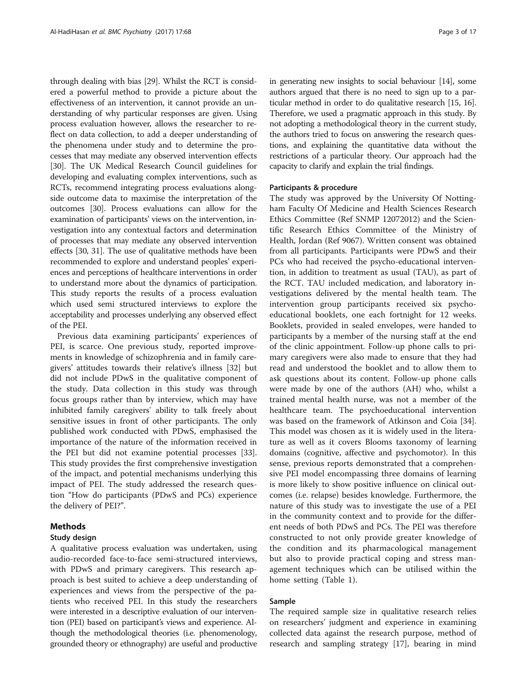through dealing with bias [29]. Whilst the RCT is considered a powerful method to provide a picture about the effectiveness of an intervention, it cannot provide an understanding of why particular responses are given. Using process evaluation however, allows the researcher to reflect on data collection, to add a deeper understanding of the phenomena under study and to determine the processes that may mediate any observed intervention effects [30]. The UK Medical Research Council guidelines for developing and evaluating complex interventions, such as RCTs, recommend integrating process evaluations alongside outcome data to maximise the interpretation of the outcomes [30]. Process evaluations can allow for the examination of participants' views on the intervention, investigation into any contextual factors and determination of processes that may mediate any observed intervention effects [30, 31]. The use of qualitative methods have been recommended to explore and understand peoples' experiences and perceptions of healthcare interventions in order to understand more about the dynamics of participation. This study reports the results of a process evaluation which used semi structured interviews to explore the acceptability and processes underlying any observed effect of the PEI.

Previous data examining participants' experiences of PEI, is scarce. One previous study, reported improvements in knowledge of schizophrenia and in family caregivers' attitudes towards their relative's illness [32] but did not include PDwS in the qualitative component of the study. Data collection in this study was through focus groups rather than by interview, which may have inhibited family caregivers' ability to talk freely about sensitive issues in front of other participants. The only published work conducted with PDwS, emphasised the importance of the nature of the information received in the PEI but did not examine potential processes [33]. This study provides the first comprehensive investigation of the impact, and potential mechanisms underlying this impact of PEI. The study addressed the research question "How do participants (PDwS and PCs) experience the delivery of PEI?".

### Methods

#### Study design

A qualitative process evaluation was undertaken, using audio-recorded face-to-face semi-structured interviews, with PDwS and primary caregivers. This research approach is best suited to achieve a deep understanding of experiences and views from the perspective of the patients who received PEI. In this study the researchers were interested in a descriptive evaluation of our intervention (PEI) based on participant's views and experience. Although the methodological theories (i.e. phenomenology, grounded theory or ethnography) are useful and productive in generating new insights to social behaviour [14], some authors argued that there is no need to sign up to a particular method in order to do qualitative research [15, 16]. Therefore, we used a pragmatic approach in this study. By not adopting a methodological theory in the current study, the authors tried to focus on answering the research questions, and explaining the quantitative data without the restrictions of a particular theory. Our approach had the capacity to clarify and explain the trial findings.

#### Participants & procedure

The study was approved by the University Of Nottingham Faculty Of Medicine and Health Sciences Research Ethics Committee (Ref SNMP 12072012) and the Scientific Research Ethics Committee of the Ministry of Health, Jordan (Ref 9067). Written consent was obtained from all participants. Participants were PDwS and their PCs who had received the psycho-educational intervention, in addition to treatment as usual (TAU), as part of the RCT. TAU included medication, and laboratory investigations delivered by the mental health team. The intervention group participants received six psychoeducational booklets, one each fortnight for 12 weeks. Booklets, provided in sealed envelopes, were handed to participants by a member of the nursing staff at the end of the clinic appointment. Follow-up phone calls to primary caregivers were also made to ensure that they had read and understood the booklet and to allow them to ask questions about its content. Follow-up phone calls were made by one of the authors (AH) who, whilst a trained mental health nurse, was not a member of the healthcare team. The psychoeducational intervention was based on the framework of Atkinson and Coia [34]. This model was chosen as it is widely used in the literature as well as it covers Blooms taxonomy of learning domains (cognitive, affective and psychomotor). In this sense, previous reports demonstrated that a comprehensive PEI model encompassing three domains of learning is more likely to show positive influence on clinical outcomes (i.e. relapse) besides knowledge. Furthermore, the nature of this study was to investigate the use of a PEI in the community context and to provide for the different needs of both PDwS and PCs. The PEI was therefore constructed to not only provide greater knowledge of the condition and its pharmacological management but also to provide practical coping and stress management techniques which can be utilised within the home setting (Table 1).

#### Sample

The required sample size in qualitative research relies on researchers' judgment and experience in examining collected data against the research purpose, method of research and sampling strategy [17], bearing in mind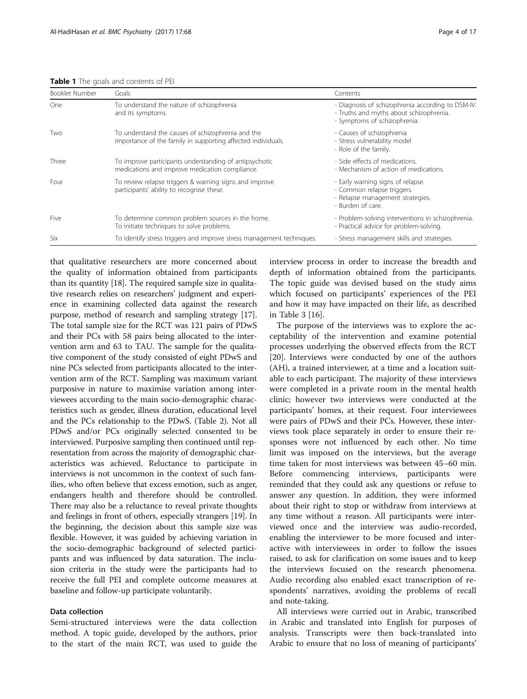Table 1 The goals and contents of PEI

| Booklet Number | Goals                                                                                                             | Contents                                                                                                                    |
|----------------|-------------------------------------------------------------------------------------------------------------------|-----------------------------------------------------------------------------------------------------------------------------|
| One            | To understand the nature of schizophrenia<br>and its symptoms.                                                    | - Diagnosis of schizophrenia according to DSM-IV<br>- Truths and myths about schizophrenia.<br>- Symptoms of schizophrenia. |
| Two            | To understand the causes of schizophrenia and the<br>importance of the family in supporting affected individuals. | - Causes of schizophrenia<br>- Stress vulnerability model<br>- Role of the family.                                          |
| Three          | To improve participants understanding of antipsychotic<br>medications and improve medication compliance.          | - Side effects of medications.<br>- Mechanism of action of medications.                                                     |
| Four           | To review relapse triggers & warning signs and improve<br>participants' ability to recognise these.               | - Early warning signs of relapse.<br>- Common relapse triggers.<br>- Relapse management strategies.<br>- Burden of care.    |
| Five           | To determine common problem sources in the home.<br>To initiate techniques to solve problems.                     | - Problem-solving interventions in schizophrenia.<br>- Practical advice for problem-solving.                                |
| Six            | To identify stress triggers and improve stress management techniques.                                             | - Stress management skills and strategies.                                                                                  |

that qualitative researchers are more concerned about the quality of information obtained from participants than its quantity [18]. The required sample size in qualitative research relies on researchers' judgment and experience in examining collected data against the research purpose, method of research and sampling strategy [17]. The total sample size for the RCT was 121 pairs of PDwS and their PCs with 58 pairs being allocated to the intervention arm and 63 to TAU. The sample for the qualitative component of the study consisted of eight PDwS and nine PCs selected from participants allocated to the intervention arm of the RCT. Sampling was maximum variant purposive in nature to maximise variation among interviewees according to the main socio-demographic characteristics such as gender, illness duration, educational level and the PCs relationship to the PDwS. (Table 2). Not all PDwS and/or PCs originally selected consented to be interviewed. Purposive sampling then continued until representation from across the majority of demographic characteristics was achieved. Reluctance to participate in interviews is not uncommon in the context of such families, who often believe that excess emotion, such as anger, endangers health and therefore should be controlled. There may also be a reluctance to reveal private thoughts and feelings in front of others, especially strangers [19]. In the beginning, the decision about this sample size was flexible. However, it was guided by achieving variation in the socio-demographic background of selected participants and was influenced by data saturation. The inclusion criteria in the study were the participants had to receive the full PEI and complete outcome measures at baseline and follow-up participate voluntarily.

#### Data collection

Semi-structured interviews were the data collection method. A topic guide, developed by the authors, prior to the start of the main RCT, was used to guide the interview process in order to increase the breadth and depth of information obtained from the participants. The topic guide was devised based on the study aims which focused on participants' experiences of the PEI and how it may have impacted on their life, as described in Table 3 [16].

The purpose of the interviews was to explore the acceptability of the intervention and examine potential processes underlying the observed effects from the RCT [20]. Interviews were conducted by one of the authors (AH), a trained interviewer, at a time and a location suitable to each participant. The majority of these interviews were completed in a private room in the mental health clinic; however two interviews were conducted at the participants' homes, at their request. Four interviewees were pairs of PDwS and their PCs. However, these interviews took place separately in order to ensure their responses were not influenced by each other. No time limit was imposed on the interviews, but the average time taken for most interviews was between 45–60 min. Before commencing interviews, participants were reminded that they could ask any questions or refuse to answer any question. In addition, they were informed about their right to stop or withdraw from interviews at any time without a reason. All participants were interviewed once and the interview was audio-recorded, enabling the interviewer to be more focused and interactive with interviewees in order to follow the issues raised, to ask for clarification on some issues and to keep the interviews focused on the research phenomena. Audio recording also enabled exact transcription of respondents' narratives, avoiding the problems of recall and note-taking.

All interviews were carried out in Arabic, transcribed in Arabic and translated into English for purposes of analysis. Transcripts were then back-translated into Arabic to ensure that no loss of meaning of participants'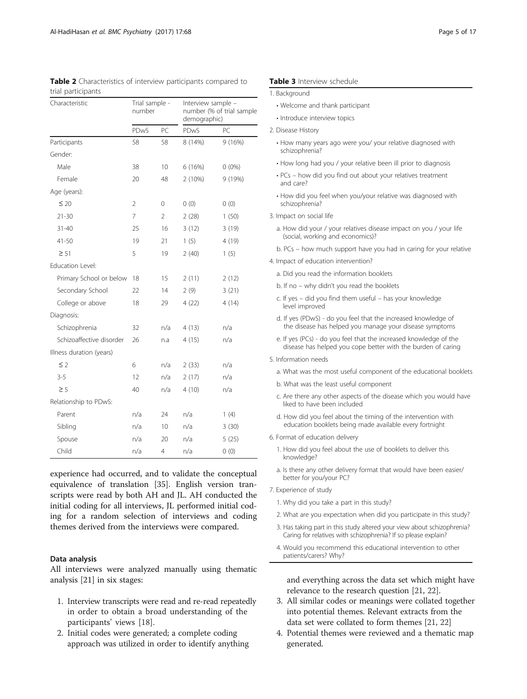| Characteristic           | Trial sample -<br>number |                |         | Interview sample -<br>number (% of trial sample<br>demographic) |  |
|--------------------------|--------------------------|----------------|---------|-----------------------------------------------------------------|--|
|                          | PDwS                     | PC             | PDwS    | PC                                                              |  |
| Participants             | 58                       | 58             | 8 (14%) | 9(16%)                                                          |  |
| Gender:                  |                          |                |         |                                                                 |  |
| Male                     | 38                       | 10             | 6(16%)  | $0(0\%)$                                                        |  |
| Female                   | 20                       | 48             | 2(10%)  | 9 (19%)                                                         |  |
| Age (years):             |                          |                |         |                                                                 |  |
| $\leq 20$                | 2                        | 0              | 0(0)    | 0(0)                                                            |  |
| $21 - 30$                | 7                        | $\overline{2}$ | 2(28)   | 1(50)                                                           |  |
| $31 - 40$                | 25                       | 16             | 3(12)   | 3(19)                                                           |  |
| $41 - 50$                | 19                       | 21             | 1(5)    | 4 (19)                                                          |  |
| $\geq 51$                | 5                        | 19             | 2(40)   | 1(5)                                                            |  |
| Education Level:         |                          |                |         |                                                                 |  |
| Primary School or below  | 18                       | 15             | 2(11)   | 2(12)                                                           |  |
| Secondary School         | 22                       | 14             | 2(9)    | 3(21)                                                           |  |
| College or above         | 18                       | 29             | 4(22)   | 4(14)                                                           |  |
| Diagnosis:               |                          |                |         |                                                                 |  |
| Schizophrenia            | 32                       | n/a            | 4(13)   | n/a                                                             |  |
| Schizoaffective disorder | 26                       | n.a            | 4(15)   | n/a                                                             |  |
| Illness duration (years) |                          |                |         |                                                                 |  |
| $\leq$ 2                 | 6                        | n/a            | 2(33)   | n/a                                                             |  |
| $3 - 5$                  | 12                       | n/a            | 2(17)   | n/a                                                             |  |
| $\geq$ 5                 | 40                       | n/a            | 4(10)   | n/a                                                             |  |
| Relationship to PDwS:    |                          |                |         |                                                                 |  |
| Parent                   | n/a                      | 24             | n/a     | 1(4)                                                            |  |
| Sibling                  | n/a                      | 10             | n/a     | 3(30)                                                           |  |
| Spouse                   | n/a                      | 20             | n/a     | 5(25)                                                           |  |
| Child                    | n/a                      | 4              | n/a     | 0(0)                                                            |  |

| <b>Table 2</b> Characteristics of interview participants compared to |  |  |
|----------------------------------------------------------------------|--|--|
| trial participants                                                   |  |  |

experience had occurred, and to validate the conceptual equivalence of translation [35]. English version transcripts were read by both AH and JL. AH conducted the initial coding for all interviews, JL performed initial coding for a random selection of interviews and coding themes derived from the interviews were compared.

### Data analysis

All interviews were analyzed manually using thematic analysis [21] in six stages:

- 1. Interview transcripts were read and re-read repeatedly in order to obtain a broad understanding of the participants' views [18].
- 2. Initial codes were generated; a complete coding approach was utilized in order to identify anything

#### Table 3 Interview schedule

|  | 1. Background |
|--|---------------|
|--|---------------|

- Welcome and thank participant
- Introduce interview topics
- 2. Disease History
	- How many years ago were you/ your relative diagnosed with schizophrenia?
	- How long had you / your relative been ill prior to diagnosis
	- PCs how did you find out about your relatives treatment and care?
	- How did you feel when you/your relative was diagnosed with schizophrenia?
- 3. Impact on social life
	- a. How did your / your relatives disease impact on you / your life (social, working and economics)?
	- b. PCs how much support have you had in caring for your relative
- 4. Impact of education intervention?
	- a. Did you read the information booklets
	- b. If no why didn't you read the booklets
	- c. If yes did you find them useful has your knowledge level improved
	- d. If yes (PDwS) do you feel that the increased knowledge of the disease has helped you manage your disease symptoms
	- e. If yes (PCs) do you feel that the increased knowledge of the disease has helped you cope better with the burden of caring
- 5. Information needs
	- a. What was the most useful component of the educational booklets
	- b. What was the least useful component
	- c. Are there any other aspects of the disease which you would have liked to have been included
	- d. How did you feel about the timing of the intervention with education booklets being made available every fortnight
- 6. Format of education delivery
	- 1. How did you feel about the use of booklets to deliver this knowledge?
	- a. Is there any other delivery format that would have been easier/ better for you/your PC?
- 7. Experience of study
	- 1. Why did you take a part in this study?
	- 2. What are you expectation when did you participate in this study?
	- 3. Has taking part in this study altered your view about schizophrenia? Caring for relatives with schizophrenia? If so please explain?
	- 4. Would you recommend this educational intervention to other patients/carers? Why?

and everything across the data set which might have relevance to the research question [21, 22].

- 3. All similar codes or meanings were collated together into potential themes. Relevant extracts from the data set were collated to form themes [21, 22]
- 4. Potential themes were reviewed and a thematic map generated.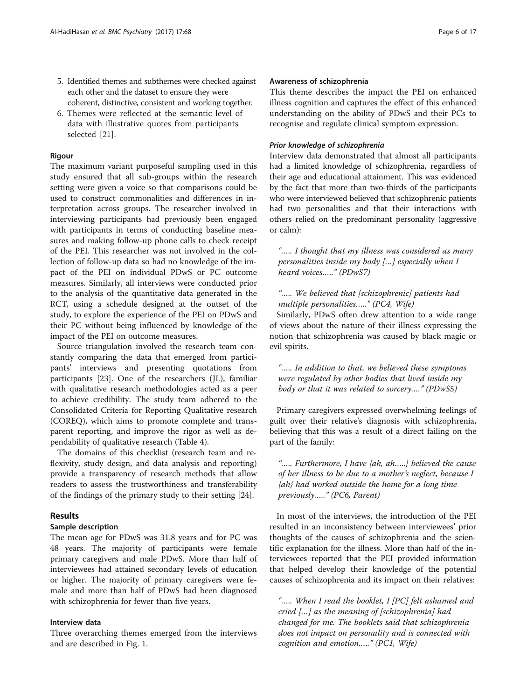- 5. Identified themes and subthemes were checked against each other and the dataset to ensure they were coherent, distinctive, consistent and working together.
- 6. Themes were reflected at the semantic level of data with illustrative quotes from participants selected [21].

#### Rigour

The maximum variant purposeful sampling used in this study ensured that all sub-groups within the research setting were given a voice so that comparisons could be used to construct commonalities and differences in interpretation across groups. The researcher involved in interviewing participants had previously been engaged with participants in terms of conducting baseline measures and making follow-up phone calls to check receipt of the PEI. This researcher was not involved in the collection of follow-up data so had no knowledge of the impact of the PEI on individual PDwS or PC outcome measures. Similarly, all interviews were conducted prior to the analysis of the quantitative data generated in the RCT, using a schedule designed at the outset of the study, to explore the experience of the PEI on PDwS and their PC without being influenced by knowledge of the impact of the PEI on outcome measures.

Source triangulation involved the research team constantly comparing the data that emerged from participants' interviews and presenting quotations from participants [23]. One of the researchers (JL), familiar with qualitative research methodologies acted as a peer to achieve credibility. The study team adhered to the Consolidated Criteria for Reporting Qualitative research (COREQ), which aims to promote complete and transparent reporting, and improve the rigor as well as dependability of qualitative research (Table 4).

The domains of this checklist (research team and reflexivity, study design, and data analysis and reporting) provide a transparency of research methods that allow readers to assess the trustworthiness and transferability of the findings of the primary study to their setting [24].

#### Results

### Sample description

The mean age for PDwS was 31.8 years and for PC was 48 years. The majority of participants were female primary caregivers and male PDwS. More than half of interviewees had attained secondary levels of education or higher. The majority of primary caregivers were female and more than half of PDwS had been diagnosed with schizophrenia for fewer than five years.

### Interview data

Three overarching themes emerged from the interviews and are described in Fig. 1.

### Awareness of schizophrenia

This theme describes the impact the PEI on enhanced illness cognition and captures the effect of this enhanced understanding on the ability of PDwS and their PCs to recognise and regulate clinical symptom expression.

### Prior knowledge of schizophrenia

Interview data demonstrated that almost all participants had a limited knowledge of schizophrenia, regardless of their age and educational attainment. This was evidenced by the fact that more than two-thirds of the participants who were interviewed believed that schizophrenic patients had two personalities and that their interactions with others relied on the predominant personality (aggressive or calm):

"….. I thought that my illness was considered as many personalities inside my body […] especially when I heard voices….." (PDwS7)

# "….. We believed that [schizophrenic] patients had multiple personalities….." (PC4, Wife)

Similarly, PDwS often drew attention to a wide range of views about the nature of their illness expressing the notion that schizophrenia was caused by black magic or evil spirits.

"….. In addition to that, we believed these symptoms were regulated by other bodies that lived inside my body or that it was related to sorcery…." (PDwS5)

Primary caregivers expressed overwhelming feelings of guilt over their relative's diagnosis with schizophrenia, believing that this was a result of a direct failing on the part of the family:

"….. Furthermore, I have {ah, ah…..} believed the cause of her illness to be due to a mother's neglect, because I {ah} had worked outside the home for a long time previously….." (PC6, Parent)

In most of the interviews, the introduction of the PEI resulted in an inconsistency between interviewees' prior thoughts of the causes of schizophrenia and the scientific explanation for the illness. More than half of the interviewees reported that the PEI provided information that helped develop their knowledge of the potential causes of schizophrenia and its impact on their relatives:

"….. When I read the booklet, I [PC] felt ashamed and cried […] as the meaning of [schizophrenia] had changed for me. The booklets said that schizophrenia does not impact on personality and is connected with cognition and emotion….." (PC1, Wife)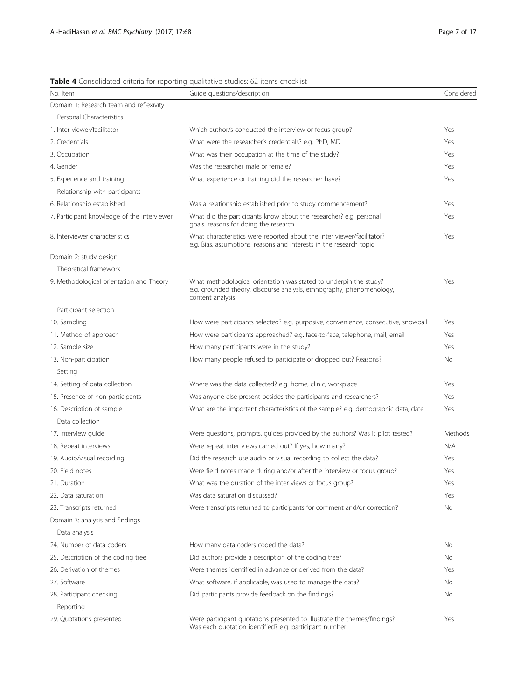## Table 4 Consolidated criteria for reporting qualitative studies: 62 items checklist

| No. Item                                    | Guide questions/description                                                                                                                                    | Considered |
|---------------------------------------------|----------------------------------------------------------------------------------------------------------------------------------------------------------------|------------|
| Domain 1: Research team and reflexivity     |                                                                                                                                                                |            |
| Personal Characteristics                    |                                                                                                                                                                |            |
| 1. Inter viewer/facilitator                 | Which author/s conducted the interview or focus group?                                                                                                         | Yes        |
| 2. Credentials                              | What were the researcher's credentials? e.g. PhD, MD                                                                                                           | Yes        |
| 3. Occupation                               | What was their occupation at the time of the study?                                                                                                            | Yes        |
| 4. Gender                                   | Was the researcher male or female?                                                                                                                             | Yes        |
| 5. Experience and training                  | What experience or training did the researcher have?                                                                                                           | Yes        |
| Relationship with participants              |                                                                                                                                                                |            |
| 6. Relationship established                 | Was a relationship established prior to study commencement?                                                                                                    | Yes        |
| 7. Participant knowledge of the interviewer | What did the participants know about the researcher? e.g. personal<br>goals, reasons for doing the research                                                    | Yes        |
| 8. Interviewer characteristics              | What characteristics were reported about the inter viewer/facilitator?<br>e.g. Bias, assumptions, reasons and interests in the research topic                  | Yes        |
| Domain 2: study design                      |                                                                                                                                                                |            |
| Theoretical framework                       |                                                                                                                                                                |            |
| 9. Methodological orientation and Theory    | What methodological orientation was stated to underpin the study?<br>e.g. grounded theory, discourse analysis, ethnography, phenomenology,<br>content analysis | Yes        |
| Participant selection                       |                                                                                                                                                                |            |
| 10. Sampling                                | How were participants selected? e.g. purposive, convenience, consecutive, snowball                                                                             | Yes        |
| 11. Method of approach                      | How were participants approached? e.g. face-to-face, telephone, mail, email                                                                                    | Yes        |
| 12. Sample size                             | How many participants were in the study?                                                                                                                       | Yes        |
| 13. Non-participation<br>Setting            | How many people refused to participate or dropped out? Reasons?                                                                                                | No         |
| 14. Setting of data collection              | Where was the data collected? e.g. home, clinic, workplace                                                                                                     | Yes        |
| 15. Presence of non-participants            | Was anyone else present besides the participants and researchers?                                                                                              | Yes        |
| 16. Description of sample                   | What are the important characteristics of the sample? e.g. demographic data, date                                                                              | Yes        |
| Data collection                             |                                                                                                                                                                |            |
| 17. Interview guide                         | Were questions, prompts, guides provided by the authors? Was it pilot tested?                                                                                  | Methods    |
| 18. Repeat interviews                       | Were repeat inter views carried out? If yes, how many?                                                                                                         | N/A        |
| 19. Audio/visual recording                  | Did the research use audio or visual recording to collect the data?                                                                                            | Yes        |
| 20. Field notes                             | Were field notes made during and/or after the interview or focus group?                                                                                        | Yes        |
| 21. Duration                                | What was the duration of the inter views or focus group?                                                                                                       | Yes        |
| 22. Data saturation                         | Was data saturation discussed?                                                                                                                                 | Yes        |
| 23. Transcripts returned                    | Were transcripts returned to participants for comment and/or correction?                                                                                       | No         |
| Domain 3: analysis and findings             |                                                                                                                                                                |            |
| Data analysis                               |                                                                                                                                                                |            |
| 24. Number of data coders                   | How many data coders coded the data?                                                                                                                           | No         |
| 25. Description of the coding tree          | Did authors provide a description of the coding tree?                                                                                                          | No         |
| 26. Derivation of themes                    | Were themes identified in advance or derived from the data?                                                                                                    | Yes        |
| 27. Software                                | What software, if applicable, was used to manage the data?                                                                                                     | No         |
| 28. Participant checking                    | Did participants provide feedback on the findings?                                                                                                             | No         |
| Reporting                                   |                                                                                                                                                                |            |
| 29. Quotations presented                    | Were participant quotations presented to illustrate the themes/findings?<br>Was each quotation identified? e.g. participant number                             | Yes        |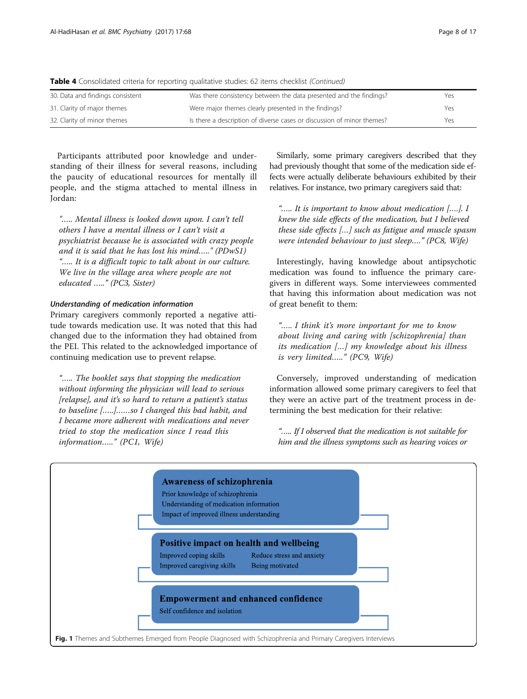Table 4 Consolidated criteria for reporting qualitative studies: 62 items checklist (Continued)

| 30. Data and findings consistent | Was there consistency between the data presented and the findings?     | Yes |
|----------------------------------|------------------------------------------------------------------------|-----|
| 31. Clarity of major themes      | Were major themes clearly presented in the findings?                   | Yes |
| 32. Clarity of minor themes      | Is there a description of diverse cases or discussion of minor themes? | Yes |

Participants attributed poor knowledge and understanding of their illness for several reasons, including the paucity of educational resources for mentally ill people, and the stigma attached to mental illness in Jordan:

"….. Mental illness is looked down upon. I can't tell others I have a mental illness or I can't visit a psychiatrist because he is associated with crazy people and it is said that he has lost his mind….." (PDwS1) "….. It is a difficult topic to talk about in our culture. We live in the village area where people are not educated ….." (PC3, Sister)

### Understanding of medication information

Primary caregivers commonly reported a negative attitude towards medication use. It was noted that this had changed due to the information they had obtained from the PEI. This related to the acknowledged importance of continuing medication use to prevent relapse.

"….. The booklet says that stopping the medication without informing the physician will lead to serious [relapse], and it's so hard to return a patient's status to baseline […..]……so I changed this bad habit, and I became more adherent with medications and never tried to stop the medication since I read this information….." (PC1, Wife)

Similarly, some primary caregivers described that they had previously thought that some of the medication side effects were actually deliberate behaviours exhibited by their relatives. For instance, two primary caregivers said that:

"….. It is important to know about medication [….]. I knew the side effects of the medication, but I believed these side effects […] such as fatigue and muscle spasm were intended behaviour to just sleep…." (PC8, Wife)

Interestingly, having knowledge about antipsychotic medication was found to influence the primary caregivers in different ways. Some interviewees commented that having this information about medication was not of great benefit to them:

"….. I think it's more important for me to know about living and caring with [schizophrenia] than its medication […] my knowledge about his illness is very limited….." (PC9, Wife)

Conversely, improved understanding of medication information allowed some primary caregivers to feel that they were an active part of the treatment process in determining the best medication for their relative:

"….. If I observed that the medication is not suitable for him and the illness symptoms such as hearing voices or

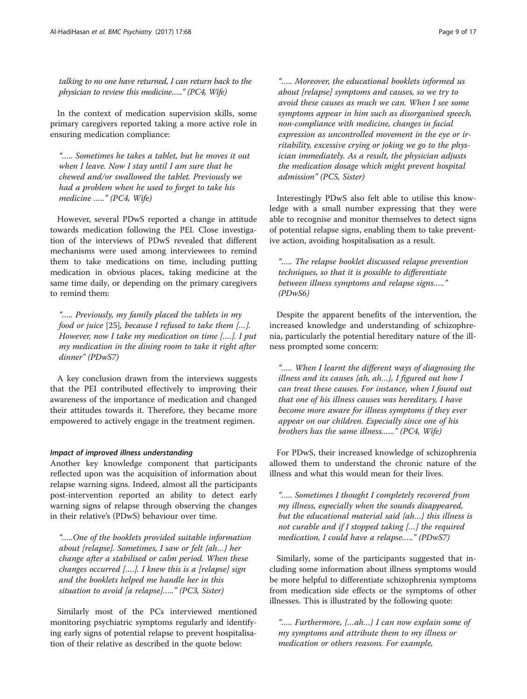talking to no one have returned, I can return back to the physician to review this medicine….." (PC4, Wife)

In the context of medication supervision skills, some primary caregivers reported taking a more active role in ensuring medication compliance:

"….. Sometimes he takes a tablet, but he moves it out when I leave. Now I stay until I am sure that he chewed and/or swallowed the tablet. Previously we had a problem when he used to forget to take his medicine ….." (PC4, Wife)

However, several PDwS reported a change in attitude towards medication following the PEI. Close investigation of the interviews of PDwS revealed that different mechanisms were used among interviewees to remind them to take medications on time, including putting medication in obvious places, taking medicine at the same time daily, or depending on the primary caregivers to remind them:

"….. Previously, my family placed the tablets in my food or juice [25], because I refused to take them […]. However, now I take my medication on time [….]. I put my medication in the dining room to take it right after dinner" (PDwS7)

A key conclusion drawn from the interviews suggests that the PEI contributed effectively to improving their awareness of the importance of medication and changed their attitudes towards it. Therefore, they became more empowered to actively engage in the treatment regimen.

#### Impact of improved illness understanding

Another key knowledge component that participants reflected upon was the acquisition of information about relapse warning signs. Indeed, almost all the participants post-intervention reported an ability to detect early warning signs of relapse through observing the changes in their relative's (PDwS) behaviour over time.

"…..One of the booklets provided suitable information about [relapse]. Sometimes, I saw or felt {ah…} her change after a stabilised or calm period. When these changes occurred [....]. I knew this is a [relapse] sign and the booklets helped me handle her in this situation to avoid [a relapse]….." (PC3, Sister)

Similarly most of the PCs interviewed mentioned monitoring psychiatric symptoms regularly and identifying early signs of potential relapse to prevent hospitalisation of their relative as described in the quote below:

"….. Moreover, the educational booklets informed us about [relapse] symptoms and causes, so we try to avoid these causes as much we can. When I see some symptoms appear in him such as disorganised speech, non-compliance with medicine, changes in facial expression as uncontrolled movement in the eye or irritability, excessive crying or joking we go to the physician immediately. As a result, the physician adjusts the medication dosage which might prevent hospital admission" (PC5, Sister)

Interestingly PDwS also felt able to utilise this knowledge with a small number expressing that they were able to recognise and monitor themselves to detect signs of potential relapse signs, enabling them to take preventive action, avoiding hospitalisation as a result.

"….. The relapse booklet discussed relapse prevention techniques, so that it is possible to differentiate between illness symptoms and relapse signs….." (PDwS6)

Despite the apparent benefits of the intervention, the increased knowledge and understanding of schizophrenia, particularly the potential hereditary nature of the illness prompted some concern:

"….. When I learnt the different ways of diagnosing the illness and its causes {ah, ah...}, I figured out how I can treat these causes. For instance, when I found out that one of his illness causes was hereditary, I have become more aware for illness symptoms if they ever appear on our children. Especially since one of his brothers has the same illness.….." (PC4, Wife)

For PDwS, their increased knowledge of schizophrenia allowed them to understand the chronic nature of the illness and what this would mean for their lives.

"….. Sometimes I thought I completely recovered from my illness, especially when the sounds disappeared, but the educational material said {ah…} this illness is not curable and if I stopped taking […] the required medication, I could have a relapse….." (PDwS7)

Similarly, some of the participants suggested that including some information about illness symptoms would be more helpful to differentiate schizophrenia symptoms from medication side effects or the symptoms of other illnesses. This is illustrated by the following quote:

"….. Furthermore, {…ah…} I can now explain some of my symptoms and attribute them to my illness or medication or others reasons. For example,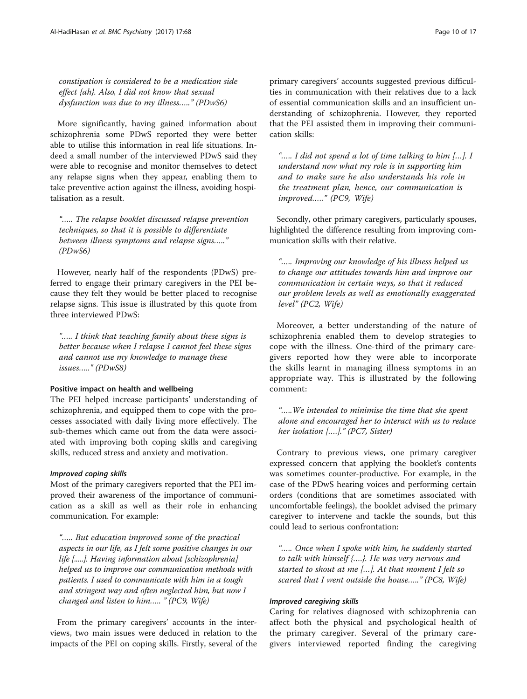constipation is considered to be a medication side effect {ah}. Also, I did not know that sexual dysfunction was due to my illness….." (PDwS6)

More significantly, having gained information about schizophrenia some PDwS reported they were better able to utilise this information in real life situations. Indeed a small number of the interviewed PDwS said they were able to recognise and monitor themselves to detect any relapse signs when they appear, enabling them to take preventive action against the illness, avoiding hospitalisation as a result.

"….. The relapse booklet discussed relapse prevention techniques, so that it is possible to differentiate between illness symptoms and relapse signs….." (PDwS6)

However, nearly half of the respondents (PDwS) preferred to engage their primary caregivers in the PEI because they felt they would be better placed to recognise relapse signs. This issue is illustrated by this quote from three interviewed PDwS:

"….. I think that teaching family about these signs is better because when I relapse I cannot feel these signs and cannot use my knowledge to manage these issues….." (PDwS8)

#### Positive impact on health and wellbeing

The PEI helped increase participants' understanding of schizophrenia, and equipped them to cope with the processes associated with daily living more effectively. The sub-themes which came out from the data were associated with improving both coping skills and caregiving skills, reduced stress and anxiety and motivation.

### Improved coping skills

Most of the primary caregivers reported that the PEI improved their awareness of the importance of communication as a skill as well as their role in enhancing communication. For example:

"….. But education improved some of the practical aspects in our life, as I felt some positive changes in our life [.....]. Having information about [schizophrenia] helped us to improve our communication methods with patients. I used to communicate with him in a tough and stringent way and often neglected him, but now I changed and listen to him….. " (PC9, Wife)

From the primary caregivers' accounts in the interviews, two main issues were deduced in relation to the impacts of the PEI on coping skills. Firstly, several of the primary caregivers' accounts suggested previous difficulties in communication with their relatives due to a lack of essential communication skills and an insufficient understanding of schizophrenia. However, they reported that the PEI assisted them in improving their communication skills:

"….. I did not spend a lot of time talking to him […]. I understand now what my role is in supporting him and to make sure he also understands his role in the treatment plan, hence, our communication is improved….." (PC9, Wife)

Secondly, other primary caregivers, particularly spouses, highlighted the difference resulting from improving communication skills with their relative.

"….. Improving our knowledge of his illness helped us to change our attitudes towards him and improve our communication in certain ways, so that it reduced our problem levels as well as emotionally exaggerated level" (PC2, Wife)

Moreover, a better understanding of the nature of schizophrenia enabled them to develop strategies to cope with the illness. One-third of the primary caregivers reported how they were able to incorporate the skills learnt in managing illness symptoms in an appropriate way. This is illustrated by the following comment:

"…..We intended to minimise the time that she spent alone and encouraged her to interact with us to reduce her isolation [....]." (PC7, Sister)

Contrary to previous views, one primary caregiver expressed concern that applying the booklet's contents was sometimes counter-productive. For example, in the case of the PDwS hearing voices and performing certain orders (conditions that are sometimes associated with uncomfortable feelings), the booklet advised the primary caregiver to intervene and tackle the sounds, but this could lead to serious confrontation:

"….. Once when I spoke with him, he suddenly started to talk with himself {….}. He was very nervous and started to shout at me […]. At that moment I felt so scared that I went outside the house….." (PC8, Wife)

### Improved caregiving skills

Caring for relatives diagnosed with schizophrenia can affect both the physical and psychological health of the primary caregiver. Several of the primary caregivers interviewed reported finding the caregiving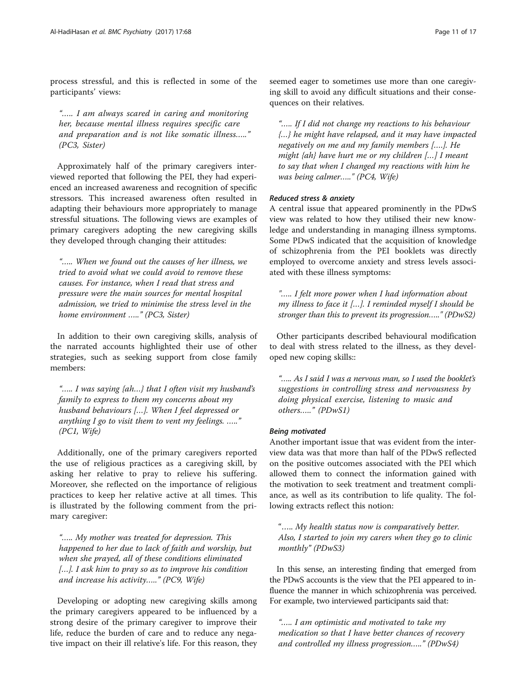process stressful, and this is reflected in some of the participants' views:

"….. I am always scared in caring and monitoring her, because mental illness requires specific care and preparation and is not like somatic illness....." (PC3, Sister)

Approximately half of the primary caregivers interviewed reported that following the PEI, they had experienced an increased awareness and recognition of specific stressors. This increased awareness often resulted in adapting their behaviours more appropriately to manage stressful situations. The following views are examples of primary caregivers adopting the new caregiving skills they developed through changing their attitudes:

"….. When we found out the causes of her illness, we tried to avoid what we could avoid to remove these causes. For instance, when I read that stress and pressure were the main sources for mental hospital admission, we tried to minimise the stress level in the home environment ....." (PC3, Sister)

In addition to their own caregiving skills, analysis of the narrated accounts highlighted their use of other strategies, such as seeking support from close family members:

"….. I was saying {ah…} that I often visit my husband's family to express to them my concerns about my husband behaviours […]. When I feel depressed or anything I go to visit them to vent my feelings. ….." (PC1, Wife)

Additionally, one of the primary caregivers reported the use of religious practices as a caregiving skill, by asking her relative to pray to relieve his suffering. Moreover, she reflected on the importance of religious practices to keep her relative active at all times. This is illustrated by the following comment from the primary caregiver:

"….. My mother was treated for depression. This happened to her due to lack of faith and worship, but when she prayed, all of these conditions eliminated [...]. I ask him to pray so as to improve his condition and increase his activity….." (PC9, Wife)

Developing or adopting new caregiving skills among the primary caregivers appeared to be influenced by a strong desire of the primary caregiver to improve their life, reduce the burden of care and to reduce any negative impact on their ill relative's life. For this reason, they

seemed eager to sometimes use more than one caregiving skill to avoid any difficult situations and their consequences on their relatives.

"….. If I did not change my reactions to his behaviour {…} he might have relapsed, and it may have impacted negatively on me and my family members [….]. He might {ah} have hurt me or my children […] I meant to say that when I changed my reactions with him he was being calmer….." (PC4, Wife)

### Reduced stress & anxiety

A central issue that appeared prominently in the PDwS view was related to how they utilised their new knowledge and understanding in managing illness symptoms. Some PDwS indicated that the acquisition of knowledge of schizophrenia from the PEI booklets was directly employed to overcome anxiety and stress levels associated with these illness symptoms:

"….. I felt more power when I had information about my illness to face it […]. I reminded myself I should be stronger than this to prevent its progression….." (PDwS2)

Other participants described behavioural modification to deal with stress related to the illness, as they developed new coping skills::

"….. As I said I was a nervous man, so I used the booklet's suggestions in controlling stress and nervousness by doing physical exercise, listening to music and others….." (PDwS1)

#### Being motivated

Another important issue that was evident from the interview data was that more than half of the PDwS reflected on the positive outcomes associated with the PEI which allowed them to connect the information gained with the motivation to seek treatment and treatment compliance, as well as its contribution to life quality. The following extracts reflect this notion:

"….. My health status now is comparatively better. Also, I started to join my carers when they go to clinic monthly" (PDwS3)

In this sense, an interesting finding that emerged from the PDwS accounts is the view that the PEI appeared to influence the manner in which schizophrenia was perceived. For example, two interviewed participants said that:

"….. I am optimistic and motivated to take my medication so that I have better chances of recovery and controlled my illness progression….." (PDwS4)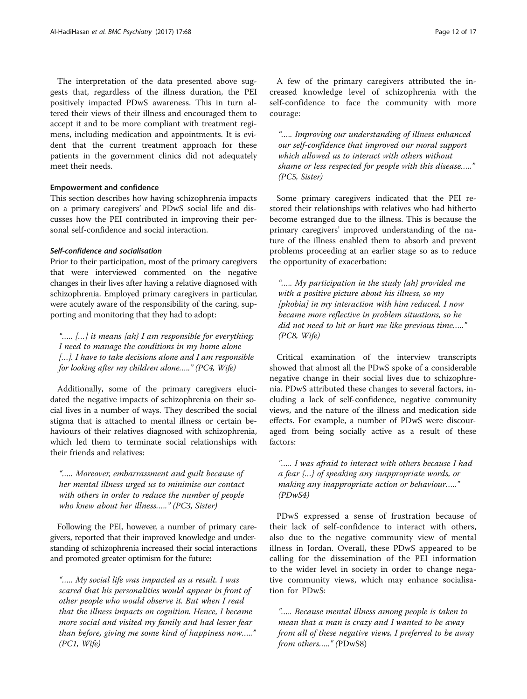The interpretation of the data presented above suggests that, regardless of the illness duration, the PEI positively impacted PDwS awareness. This in turn altered their views of their illness and encouraged them to accept it and to be more compliant with treatment regimens, including medication and appointments. It is evident that the current treatment approach for these patients in the government clinics did not adequately meet their needs.

#### Empowerment and confidence

This section describes how having schizophrenia impacts on a primary caregivers' and PDwS social life and discusses how the PEI contributed in improving their personal self-confidence and social interaction.

#### Self-confidence and socialisation

Prior to their participation, most of the primary caregivers that were interviewed commented on the negative changes in their lives after having a relative diagnosed with schizophrenia. Employed primary caregivers in particular, were acutely aware of the responsibility of the caring, supporting and monitoring that they had to adopt:

"….. […] it means {ah} I am responsible for everything; I need to manage the conditions in my home alone [...]. I have to take decisions alone and I am responsible for looking after my children alone….." (PC4, Wife)

Additionally, some of the primary caregivers elucidated the negative impacts of schizophrenia on their social lives in a number of ways. They described the social stigma that is attached to mental illness or certain behaviours of their relatives diagnosed with schizophrenia, which led them to terminate social relationships with their friends and relatives:

"….. Moreover, embarrassment and guilt because of her mental illness urged us to minimise our contact with others in order to reduce the number of people who knew about her illness….." (PC3, Sister)

Following the PEI, however, a number of primary caregivers, reported that their improved knowledge and understanding of schizophrenia increased their social interactions and promoted greater optimism for the future:

"….. My social life was impacted as a result. I was scared that his personalities would appear in front of other people who would observe it. But when I read that the illness impacts on cognition. Hence, I became more social and visited my family and had lesser fear than before, giving me some kind of happiness now….." (PC1, Wife)

A few of the primary caregivers attributed the increased knowledge level of schizophrenia with the self-confidence to face the community with more courage:

"….. Improving our understanding of illness enhanced our self-confidence that improved our moral support which allowed us to interact with others without shame or less respected for people with this disease….." (PC5, Sister)

Some primary caregivers indicated that the PEI restored their relationships with relatives who had hitherto become estranged due to the illness. This is because the primary caregivers' improved understanding of the nature of the illness enabled them to absorb and prevent problems proceeding at an earlier stage so as to reduce the opportunity of exacerbation:

"….. My participation in the study {ah} provided me with a positive picture about his illness, so my [phobia] in my interaction with him reduced. I now became more reflective in problem situations, so he did not need to hit or hurt me like previous time....." (PC8, Wife)

Critical examination of the interview transcripts showed that almost all the PDwS spoke of a considerable negative change in their social lives due to schizophrenia. PDwS attributed these changes to several factors, including a lack of self-confidence, negative community views, and the nature of the illness and medication side effects. For example, a number of PDwS were discouraged from being socially active as a result of these factors:

"….. I was afraid to interact with others because I had a fear {…} of speaking any inappropriate words, or making any inappropriate action or behaviour….." (PDwS4)

PDwS expressed a sense of frustration because of their lack of self-confidence to interact with others, also due to the negative community view of mental illness in Jordan. Overall, these PDwS appeared to be calling for the dissemination of the PEI information to the wider level in society in order to change negative community views, which may enhance socialisation for PDwS:

"….. Because mental illness among people is taken to mean that a man is crazy and I wanted to be away from all of these negative views, I preferred to be away from others….." (PDwS8)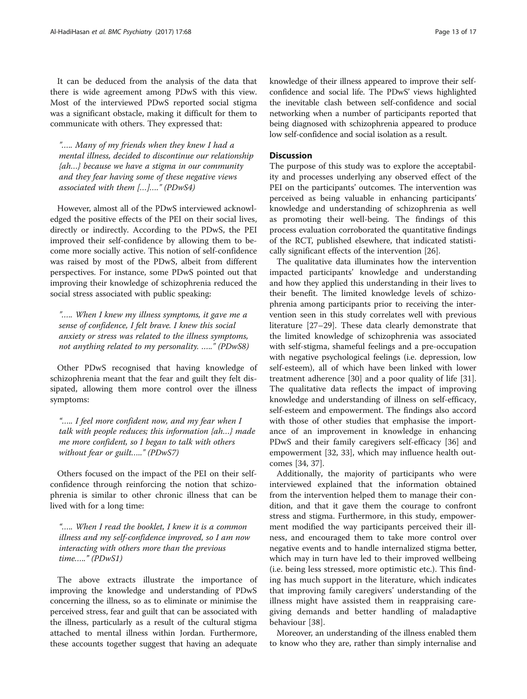It can be deduced from the analysis of the data that there is wide agreement among PDwS with this view. Most of the interviewed PDwS reported social stigma was a significant obstacle, making it difficult for them to communicate with others. They expressed that:

"….. Many of my friends when they knew I had a mental illness, decided to discontinue our relationship {ah…} because we have a stigma in our community and they fear having some of these negative views associated with them […]…." (PDwS4)

However, almost all of the PDwS interviewed acknowledged the positive effects of the PEI on their social lives, directly or indirectly. According to the PDwS, the PEI improved their self-confidence by allowing them to become more socially active. This notion of self-confidence was raised by most of the PDwS, albeit from different perspectives. For instance, some PDwS pointed out that improving their knowledge of schizophrenia reduced the social stress associated with public speaking:

"….. When I knew my illness symptoms, it gave me a sense of confidence, I felt brave. I knew this social anxiety or stress was related to the illness symptoms, not anything related to my personality. ….." (PDwS8)

Other PDwS recognised that having knowledge of schizophrenia meant that the fear and guilt they felt dissipated, allowing them more control over the illness symptoms:

"….. I feel more confident now, and my fear when I talk with people reduces; this information {ah…} made me more confident, so I began to talk with others without fear or guilt….." (PDwS7)

Others focused on the impact of the PEI on their selfconfidence through reinforcing the notion that schizophrenia is similar to other chronic illness that can be lived with for a long time:

"….. When I read the booklet, I knew it is a common illness and my self-confidence improved, so I am now interacting with others more than the previous time….." (PDwS1)

The above extracts illustrate the importance of improving the knowledge and understanding of PDwS concerning the illness, so as to eliminate or minimise the perceived stress, fear and guilt that can be associated with the illness, particularly as a result of the cultural stigma attached to mental illness within Jordan. Furthermore, these accounts together suggest that having an adequate knowledge of their illness appeared to improve their selfconfidence and social life. The PDwS' views highlighted the inevitable clash between self-confidence and social networking when a number of participants reported that being diagnosed with schizophrenia appeared to produce low self-confidence and social isolation as a result.

#### **Discussion**

The purpose of this study was to explore the acceptability and processes underlying any observed effect of the PEI on the participants' outcomes. The intervention was perceived as being valuable in enhancing participants' knowledge and understanding of schizophrenia as well as promoting their well-being. The findings of this process evaluation corroborated the quantitative findings of the RCT, published elsewhere, that indicated statistically significant effects of the intervention [26].

The qualitative data illuminates how the intervention impacted participants' knowledge and understanding and how they applied this understanding in their lives to their benefit. The limited knowledge levels of schizophrenia among participants prior to receiving the intervention seen in this study correlates well with previous literature [27–29]. These data clearly demonstrate that the limited knowledge of schizophrenia was associated with self-stigma, shameful feelings and a pre-occupation with negative psychological feelings (i.e. depression, low self-esteem), all of which have been linked with lower treatment adherence [30] and a poor quality of life [31]. The qualitative data reflects the impact of improving knowledge and understanding of illness on self-efficacy, self-esteem and empowerment. The findings also accord with those of other studies that emphasise the importance of an improvement in knowledge in enhancing PDwS and their family caregivers self-efficacy [36] and empowerment [32, 33], which may influence health outcomes [34, 37].

Additionally, the majority of participants who were interviewed explained that the information obtained from the intervention helped them to manage their condition, and that it gave them the courage to confront stress and stigma. Furthermore, in this study, empowerment modified the way participants perceived their illness, and encouraged them to take more control over negative events and to handle internalized stigma better, which may in turn have led to their improved wellbeing (i.e. being less stressed, more optimistic etc.). This finding has much support in the literature, which indicates that improving family caregivers' understanding of the illness might have assisted them in reappraising caregiving demands and better handling of maladaptive behaviour [38].

Moreover, an understanding of the illness enabled them to know who they are, rather than simply internalise and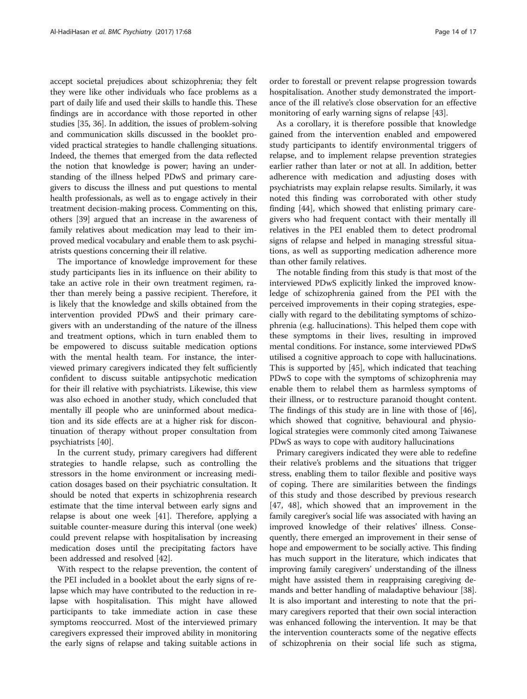accept societal prejudices about schizophrenia; they felt they were like other individuals who face problems as a part of daily life and used their skills to handle this. These findings are in accordance with those reported in other studies [35, 36]. In addition, the issues of problem-solving and communication skills discussed in the booklet provided practical strategies to handle challenging situations. Indeed, the themes that emerged from the data reflected the notion that knowledge is power; having an understanding of the illness helped PDwS and primary caregivers to discuss the illness and put questions to mental health professionals, as well as to engage actively in their treatment decision-making process. Commenting on this, others [39] argued that an increase in the awareness of family relatives about medication may lead to their improved medical vocabulary and enable them to ask psychiatrists questions concerning their ill relative.

The importance of knowledge improvement for these study participants lies in its influence on their ability to take an active role in their own treatment regimen, rather than merely being a passive recipient. Therefore, it is likely that the knowledge and skills obtained from the intervention provided PDwS and their primary caregivers with an understanding of the nature of the illness and treatment options, which in turn enabled them to be empowered to discuss suitable medication options with the mental health team. For instance, the interviewed primary caregivers indicated they felt sufficiently confident to discuss suitable antipsychotic medication for their ill relative with psychiatrists. Likewise, this view was also echoed in another study, which concluded that mentally ill people who are uninformed about medication and its side effects are at a higher risk for discontinuation of therapy without proper consultation from psychiatrists [40].

In the current study, primary caregivers had different strategies to handle relapse, such as controlling the stressors in the home environment or increasing medication dosages based on their psychiatric consultation. It should be noted that experts in schizophrenia research estimate that the time interval between early signs and relapse is about one week [41]. Therefore, applying a suitable counter-measure during this interval (one week) could prevent relapse with hospitalisation by increasing medication doses until the precipitating factors have been addressed and resolved [42].

With respect to the relapse prevention, the content of the PEI included in a booklet about the early signs of relapse which may have contributed to the reduction in relapse with hospitalisation. This might have allowed participants to take immediate action in case these symptoms reoccurred. Most of the interviewed primary caregivers expressed their improved ability in monitoring the early signs of relapse and taking suitable actions in

order to forestall or prevent relapse progression towards hospitalisation. Another study demonstrated the importance of the ill relative's close observation for an effective monitoring of early warning signs of relapse [43].

As a corollary, it is therefore possible that knowledge gained from the intervention enabled and empowered study participants to identify environmental triggers of relapse, and to implement relapse prevention strategies earlier rather than later or not at all. In addition, better adherence with medication and adjusting doses with psychiatrists may explain relapse results. Similarly, it was noted this finding was corroborated with other study finding [44], which showed that enlisting primary caregivers who had frequent contact with their mentally ill relatives in the PEI enabled them to detect prodromal signs of relapse and helped in managing stressful situations, as well as supporting medication adherence more than other family relatives.

The notable finding from this study is that most of the interviewed PDwS explicitly linked the improved knowledge of schizophrenia gained from the PEI with the perceived improvements in their coping strategies, especially with regard to the debilitating symptoms of schizophrenia (e.g. hallucinations). This helped them cope with these symptoms in their lives, resulting in improved mental conditions. For instance, some interviewed PDwS utilised a cognitive approach to cope with hallucinations. This is supported by [45], which indicated that teaching PDwS to cope with the symptoms of schizophrenia may enable them to relabel them as harmless symptoms of their illness, or to restructure paranoid thought content. The findings of this study are in line with those of [46], which showed that cognitive, behavioural and physiological strategies were commonly cited among Taiwanese PDwS as ways to cope with auditory hallucinations

Primary caregivers indicated they were able to redefine their relative's problems and the situations that trigger stress, enabling them to tailor flexible and positive ways of coping. There are similarities between the findings of this study and those described by previous research [47, 48], which showed that an improvement in the family caregiver's social life was associated with having an improved knowledge of their relatives' illness. Consequently, there emerged an improvement in their sense of hope and empowerment to be socially active. This finding has much support in the literature, which indicates that improving family caregivers' understanding of the illness might have assisted them in reappraising caregiving demands and better handling of maladaptive behaviour [38]. It is also important and interesting to note that the primary caregivers reported that their own social interaction was enhanced following the intervention. It may be that the intervention counteracts some of the negative effects of schizophrenia on their social life such as stigma,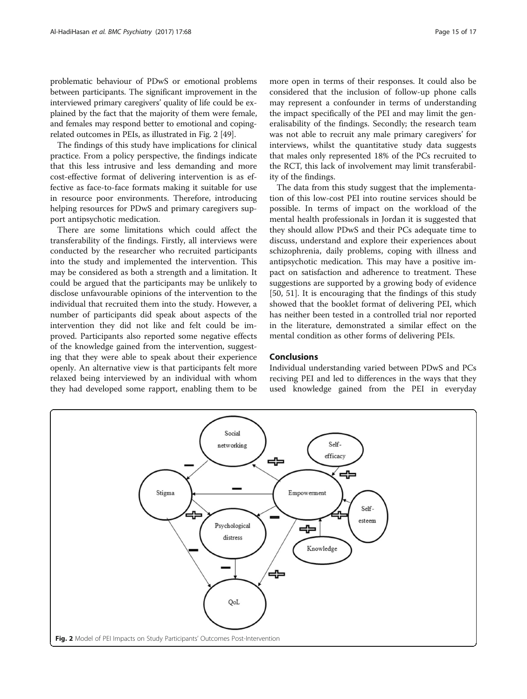problematic behaviour of PDwS or emotional problems between participants. The significant improvement in the interviewed primary caregivers' quality of life could be explained by the fact that the majority of them were female, and females may respond better to emotional and copingrelated outcomes in PEIs, as illustrated in Fig. 2 [49].

The findings of this study have implications for clinical practice. From a policy perspective, the findings indicate that this less intrusive and less demanding and more cost-effective format of delivering intervention is as effective as face-to-face formats making it suitable for use in resource poor environments. Therefore, introducing helping resources for PDwS and primary caregivers support antipsychotic medication.

There are some limitations which could affect the transferability of the findings. Firstly, all interviews were conducted by the researcher who recruited participants into the study and implemented the intervention. This may be considered as both a strength and a limitation. It could be argued that the participants may be unlikely to disclose unfavourable opinions of the intervention to the individual that recruited them into the study. However, a number of participants did speak about aspects of the intervention they did not like and felt could be improved. Participants also reported some negative effects of the knowledge gained from the intervention, suggesting that they were able to speak about their experience openly. An alternative view is that participants felt more relaxed being interviewed by an individual with whom they had developed some rapport, enabling them to be more open in terms of their responses. It could also be considered that the inclusion of follow-up phone calls may represent a confounder in terms of understanding the impact specifically of the PEI and may limit the generalisability of the findings. Secondly; the research team was not able to recruit any male primary caregivers' for interviews, whilst the quantitative study data suggests that males only represented 18% of the PCs recruited to the RCT, this lack of involvement may limit transferability of the findings.

The data from this study suggest that the implementation of this low-cost PEI into routine services should be possible. In terms of impact on the workload of the mental health professionals in Jordan it is suggested that they should allow PDwS and their PCs adequate time to discuss, understand and explore their experiences about schizophrenia, daily problems, coping with illness and antipsychotic medication. This may have a positive impact on satisfaction and adherence to treatment. These suggestions are supported by a growing body of evidence [50, 51]. It is encouraging that the findings of this study showed that the booklet format of delivering PEI, which has neither been tested in a controlled trial nor reported in the literature, demonstrated a similar effect on the mental condition as other forms of delivering PEIs.

### Conclusions

Individual understanding varied between PDwS and PCs reciving PEI and led to differences in the ways that they used knowledge gained from the PEI in everyday

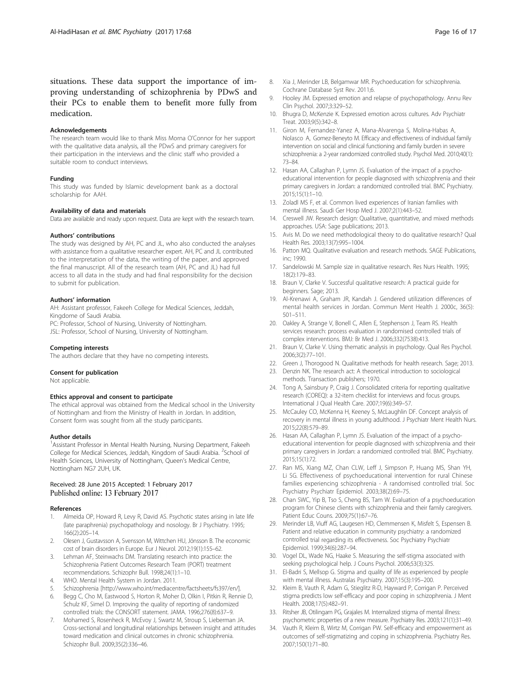situations. These data support the importance of improving understanding of schizophrenia by PDwS and their PCs to enable them to benefit more fully from medication.

#### Acknowledgements

The research team would like to thank Miss Morna O'Connor for her support with the qualitative data analysis, all the PDwS and primary caregivers for their participation in the interviews and the clinic staff who provided a suitable room to conduct interviews.

#### Funding

This study was funded by Islamic development bank as a doctoral scholarship for AAH.

#### Availability of data and materials

Data are available and ready upon request. Data are kept with the research team.

#### Authors' contributions

The study was designed by AH, PC and JL, who also conducted the analyses with assistance from a qualitative researcher expert. AH, PC and JL contributed to the interpretation of the data, the writing of the paper, and approved the final manuscript. All of the research team (AH, PC and JL) had full access to all data in the study and had final responsibility for the decision to submit for publication.

#### Authors' information

AH: Assistant professor, Fakeeh College for Medical Sciences, Jeddah, Kingdome of Saudi Arabia.

PC: Professor, School of Nursing, University of Nottingham. JSL: Professor, School of Nursing, University of Nottingham.

#### Competing interests

The authors declare that they have no competing interests.

#### Consent for publication

Not applicable.

#### Ethics approval and consent to participate

The ethical approval was obtained from the Medical school in the University of Nottingham and from the Ministry of Health in Jordan. In addition, Consent form was sought from all the study participants.

#### Author details

<sup>1</sup> Assistant Professor in Mental Health Nursing, Nursing Department, Fakeeh College for Medical Sciences, Jeddah, Kingdom of Saudi Arabia. <sup>2</sup>School of Health Sciences, University of Nottingham, Queen's Medical Centre, Nottingham NG7 2UH, UK.

#### Received: 28 June 2015 Accepted: 1 February 2017 Published online: 13 February 2017

#### References

- Almeida OP, Howard R, Levy R, David AS. Psychotic states arising in late life (late paraphrenia) psychopathology and nosology. Br J Psychiatry. 1995; 166(2):205–14.
- 2. Olesen J, Gustavsson A, Svensson M, Wittchen HU, Jönsson B. The economic cost of brain disorders in Europe. Eur J Neurol. 2012;19(1):155–62.
- 3. Lehman AF, Steinwachs DM. Translating research into practice: the Schizophrenia Patient Outcomes Research Team (PORT) treatment recommendations. Schizophr Bull. 1998;24(1):1–10.
- 4. WHO. Mental Health System in Jordan. 2011.
- 5. Schizophrenia [http://www.who.int/mediacentre/factsheets/fs397/en/].
- 6. Begg C, Cho M, Eastwood S, Horton R, Moher D, Olkin I, Pitkin R, Rennie D, Schulz KF, Simel D. Improving the quality of reporting of randomized controlled trials: the CONSORT statement. JAMA. 1996;276(8):637–9.
- 7. Mohamed S, Rosenheck R, McEvoy J, Swartz M, Stroup S, Lieberman JA. Cross-sectional and longitudinal relationships between insight and attitudes toward medication and clinical outcomes in chronic schizophrenia. Schizophr Bull. 2009;35(2):336–46.
- 8. Xia J, Merinder LB, Belgamwar MR. Psychoeducation for schizophrenia. Cochrane Database Syst Rev. 2011;6.
- 9. Hooley JM. Expressed emotion and relapse of psychopathology. Annu Rev Clin Psychol. 2007;3:329–52.
- 10. Bhugra D, McKenzie K. Expressed emotion across cultures. Adv Psychiatr Treat. 2003;9(5):342–8.
- 11. Giron M, Fernandez-Yanez A, Mana-Alvarenga S, Molina-Habas A, Nolasco A, Gomez-Beneyto M. Efficacy and effectiveness of individual family intervention on social and clinical functioning and family burden in severe schizophrenia: a 2-year randomized controlled study. Psychol Med. 2010;40(1): 73–84.
- 12. Hasan AA, Callaghan P, Lymn JS, Evaluation of the impact of a psychoeducational intervention for people diagnosed with schizophrenia and their primary caregivers in Jordan: a randomized controlled trial. BMC Psychiatry.  $2015:15(1):1-10$
- 13. Zoladl MS F, et al. Common lived experiences of Iranian families with mental illness. Saudi Ger Hosp Med J. 2007;2(1):443–52.
- 14. Creswell JW. Research design: Qualitative, quantitative, and mixed methods approaches. USA: Sage publications; 2013.
- 15. Avis M. Do we need methodological theory to do qualitative research? Qual Health Res. 2003;13(7):995–1004.
- 16. Patton MQ. Qualitative evaluation and research methods. SAGE Publications, inc; 1990.
- 17. Sandelowski M. Sample size in qualitative research. Res Nurs Health. 1995; 18(2):179–83.
- 18. Braun V, Clarke V. Successful qualitative research: A practical guide for beginners. Sage; 2013.
- 19. Al-Krenawi A, Graham JR, Kandah J. Gendered utilization differences of mental health services in Jordan. Commun Ment Health J. 2000c, 36(5): 501–511.
- 20. Oakley A, Strange V, Bonell C, Allen E, Stephenson J, Team RS. Health services research: process evaluation in randomised controlled trials of complex interventions. BMJ: Br Med J. 2006;332(7538):413.
- 21. Braun V, Clarke V. Using thematic analysis in psychology. Qual Res Psychol. 2006;3(2):77–101.
- 22. Green J, Thorogood N. Qualitative methods for health research. Sage; 2013.
- 23. Denzin NK. The research act: A theoretical introduction to sociological methods. Transaction publishers; 1970.
- 24. Tong A, Sainsbury P, Craig J. Consolidated criteria for reporting qualitative research (COREQ): a 32-item checklist for interviews and focus groups. International J Qual Health Care. 2007;19(6):349–57.
- 25. McCauley CO, McKenna H, Keeney S, McLaughlin DF. Concept analysis of recovery in mental illness in young adulthood. J Psychiatr Ment Health Nurs. 2015;22(8):579–89.
- 26. Hasan AA, Callaghan P, Lymn JS. Evaluation of the impact of a psychoeducational intervention for people diagnosed with schizophrenia and their primary caregivers in Jordan: a randomized controlled trial. BMC Psychiatry. 2015;15(1):72.
- 27. Ran MS, Xiang MZ, Chan CLW, Leff J, Simpson P, Huang MS, Shan YH, Li SG. Effectiveness of psychoeducational intervention for rural Chinese families experiencing schizophrenia - A randomised controlled trial. Soc Psychiatry Psychiatr Epidemiol. 2003;38(2):69–75.
- 28. Chan SWC, Yip B, Tso S, Cheng BS, Tam W. Evaluation of a psychoeducation program for Chinese clients with schizophrenia and their family caregivers. Patient Educ Couns. 2009;75(1):67–76.
- 29. Merinder LB, Viuff AG, Laugesen HD, Clemmensen K, Misfelt S, Espensen B. Patient and relative education in community psychiatry: a randomized controlled trial regarding its effectiveness. Soc Psychiatry Psychiatr Epidemiol. 1999;34(6):287–94.
- 30. Vogel DL, Wade NG, Haake S. Measuring the self-stigma associated with seeking psychological help. J Couns Psychol. 2006;53(3):325.
- 31. El-Badri S, Mellsop G. Stigma and quality of life as experienced by people with mental illness. Australas Psychiatry. 2007;15(3):195–200.
- 32. Kleim B, Vauth R, Adam G, Stieglitz R-D, Hayward P, Corrigan P. Perceived stigma predicts low self-efficacy and poor coping in schizophrenia. J Ment Health. 2008;17(5):482–91.
- 33. Ritsher JB, Otilingam PG, Grajales M. Internalized stigma of mental illness: psychometric properties of a new measure. Psychiatry Res. 2003;121(1):31–49.
- 34. Vauth R, Kleim B, Wirtz M, Corrigan PW. Self-efficacy and empowerment as outcomes of self-stigmatizing and coping in schizophrenia. Psychiatry Res. 2007;150(1):71–80.